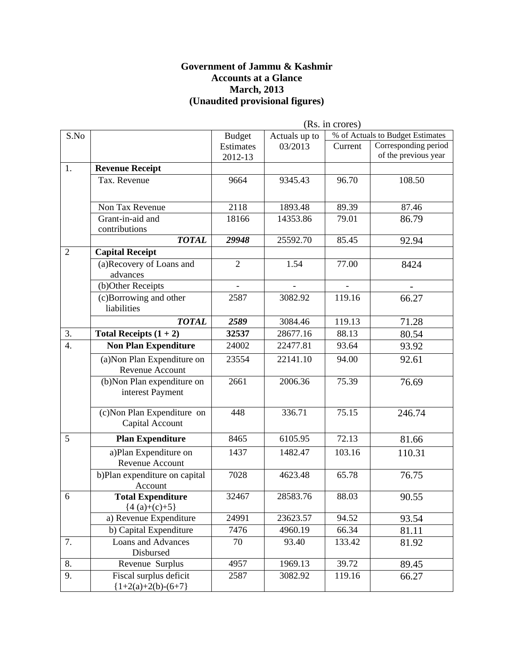#### **Government of Jammu & Kashmir Accounts at a Glance March, 2013 (Unaudited provisional figures)**

|                  |                                                 | (Rs. in crores)  |               |         |                                  |
|------------------|-------------------------------------------------|------------------|---------------|---------|----------------------------------|
| S.No             |                                                 | <b>Budget</b>    | Actuals up to |         | % of Actuals to Budget Estimates |
|                  |                                                 | <b>Estimates</b> | 03/2013       | Current | Corresponding period             |
|                  |                                                 | 2012-13          |               |         | of the previous year             |
| 1.               | <b>Revenue Receipt</b>                          |                  |               |         |                                  |
|                  | Tax. Revenue                                    | 9664             | 9345.43       | 96.70   | 108.50                           |
|                  |                                                 |                  |               |         |                                  |
|                  | Non Tax Revenue                                 | 2118             | 1893.48       | 89.39   | 87.46                            |
|                  | Grant-in-aid and                                | 18166            | 14353.86      | 79.01   | 86.79                            |
|                  | contributions                                   |                  |               |         |                                  |
|                  | <b>TOTAL</b>                                    | 29948            | 25592.70      | 85.45   | 92.94                            |
| $\overline{2}$   | <b>Capital Receipt</b>                          |                  |               |         |                                  |
|                  | (a)Recovery of Loans and<br>advances            | $\overline{2}$   | 1.54          | 77.00   | 8424                             |
|                  | (b)Other Receipts                               |                  |               |         |                                  |
|                  | (c)Borrowing and other<br>liabilities           | 2587             | 3082.92       | 119.16  | 66.27                            |
|                  | <b>TOTAL</b>                                    | 2589             | 3084.46       | 119.13  | 71.28                            |
| 3.               | Total Receipts $(1 + 2)$                        | 32537            | 28677.16      | 88.13   | 80.54                            |
| $\overline{4}$ . | <b>Non Plan Expenditure</b>                     | 24002            | 22477.81      | 93.64   | 93.92                            |
|                  | (a) Non Plan Expenditure on<br>Revenue Account  | 23554            | 22141.10      | 94.00   | 92.61                            |
|                  | (b)Non Plan expenditure on<br>interest Payment  | 2661             | 2006.36       | 75.39   | 76.69                            |
|                  | (c) Non Plan Expenditure on<br>Capital Account  | 448              | 336.71        | 75.15   | 246.74                           |
| 5                | <b>Plan Expenditure</b>                         | 8465             | 6105.95       | 72.13   | 81.66                            |
|                  | a)Plan Expenditure on<br>Revenue Account        | 1437             | 1482.47       | 103.16  | 110.31                           |
|                  | b)Plan expenditure on capital<br>Account        | 7028             | 4623.48       | 65.78   | 76.75                            |
| 6                | <b>Total Expenditure</b><br>${4(a)+(c)+5}$      | 32467            | 28583.76      | 88.03   | 90.55                            |
|                  | a) Revenue Expenditure                          | 24991            | 23623.57      | 94.52   | 93.54                            |
|                  | b) Capital Expenditure                          | 7476             | 4960.19       | 66.34   | 81.11                            |
| 7.               | Loans and Advances<br>Disbursed                 | 70               | 93.40         | 133.42  | 81.92                            |
| 8.               | Revenue Surplus                                 | 4957             | 1969.13       | 39.72   | 89.45                            |
| 9.               | Fiscal surplus deficit<br>${1+2(a)+2(b)-(6+7)}$ | 2587             | 3082.92       | 119.16  | 66.27                            |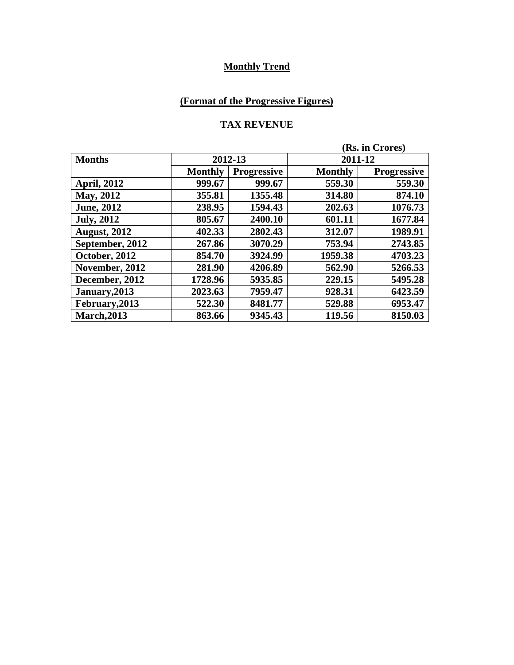## **(Format of the Progressive Figures)**

#### **TAX REVENUE**

|                     |                |                    | (Rs. in Crores) |                    |
|---------------------|----------------|--------------------|-----------------|--------------------|
| <b>Months</b>       | 2012-13        |                    | 2011-12         |                    |
|                     | <b>Monthly</b> | <b>Progressive</b> | <b>Monthly</b>  | <b>Progressive</b> |
| <b>April, 2012</b>  | 999.67         | 999.67             | 559.30          | 559.30             |
| <b>May, 2012</b>    | 355.81         | 1355.48            | 314.80          | 874.10             |
| <b>June</b> , 2012  | 238.95         | 1594.43            | 202.63          | 1076.73            |
| <b>July, 2012</b>   | 805.67         | 2400.10            | 601.11          | 1677.84            |
| <b>August, 2012</b> | 402.33         | 2802.43            | 312.07          | 1989.91            |
| September, 2012     | 267.86         | 3070.29            | 753.94          | 2743.85            |
| October, 2012       | 854.70         | 3924.99            | 1959.38         | 4703.23            |
| November, 2012      | 281.90         | 4206.89            | 562.90          | 5266.53            |
| December, 2012      | 1728.96        | 5935.85            | 229.15          | 5495.28            |
| January, 2013       | 2023.63        | 7959.47            | 928.31          | 6423.59            |
| February, 2013      | 522.30         | 8481.77            | 529.88          | 6953.47            |
| <b>March, 2013</b>  | 863.66         | 9345.43            | 119.56          | 8150.03            |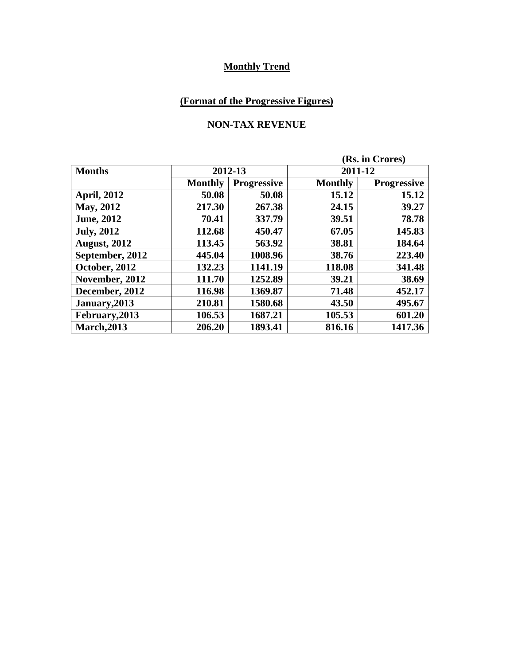## **(Format of the Progressive Figures)**

### **NON-TAX REVENUE**

|                     |                |                    | (Rs. in Crores) |                    |  |
|---------------------|----------------|--------------------|-----------------|--------------------|--|
| <b>Months</b>       | 2012-13        |                    |                 | 2011-12            |  |
|                     | <b>Monthly</b> | <b>Progressive</b> | <b>Monthly</b>  | <b>Progressive</b> |  |
| <b>April, 2012</b>  | 50.08          | 50.08              | 15.12           | 15.12              |  |
| May, 2012           | 217.30         | 267.38             | 24.15           | 39.27              |  |
| <b>June</b> , 2012  | 70.41          | 337.79             | 39.51           | 78.78              |  |
| <b>July, 2012</b>   | 112.68         | 450.47             | 67.05           | 145.83             |  |
| <b>August, 2012</b> | 113.45         | 563.92             | 38.81           | 184.64             |  |
| September, 2012     | 445.04         | 1008.96            | 38.76           | 223.40             |  |
| October, 2012       | 132.23         | 1141.19            | 118.08          | 341.48             |  |
| November, 2012      | 111.70         | 1252.89            | 39.21           | 38.69              |  |
| December, 2012      | 116.98         | 1369.87            | 71.48           | 452.17             |  |
| January, 2013       | 210.81         | 1580.68            | 43.50           | 495.67             |  |
| February, 2013      | 106.53         | 1687.21            | 105.53          | 601.20             |  |
| <b>March, 2013</b>  | 206.20         | 1893.41            | 816.16          | 1417.36            |  |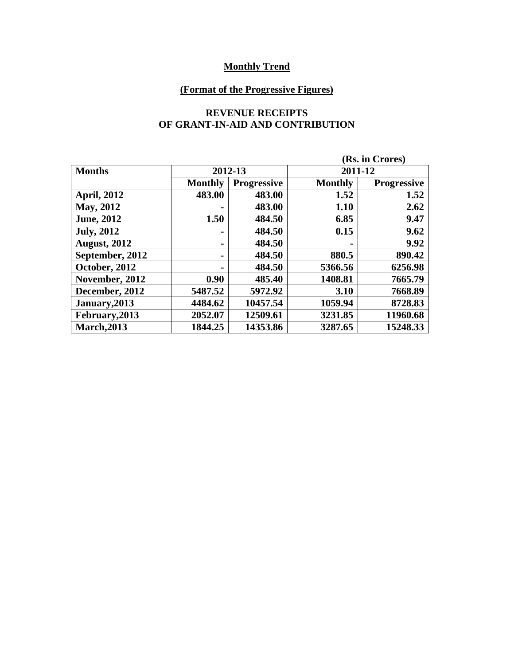## **(Format of the Progressive Figures)**

#### **REVENUE RECEIPTS OF GRANT-IN-AID AND CONTRIBUTION**

|                     |                |                    | (Rs. in Crores) |                    |  |
|---------------------|----------------|--------------------|-----------------|--------------------|--|
| <b>Months</b>       |                | 2012-13            |                 | 2011-12            |  |
|                     | <b>Monthly</b> | <b>Progressive</b> | <b>Monthly</b>  | <b>Progressive</b> |  |
| <b>April, 2012</b>  | 483.00         | 483.00             | 1.52            | 1.52               |  |
| May, 2012           |                | 483.00             | 1.10            | 2.62               |  |
| <b>June</b> , 2012  | 1.50           | 484.50             | 6.85            | 9.47               |  |
| <b>July, 2012</b>   |                | 484.50             | 0.15            | 9.62               |  |
| <b>August, 2012</b> |                | 484.50             |                 | 9.92               |  |
| September, 2012     |                | 484.50             | 880.5           | 890.42             |  |
| October, 2012       |                | 484.50             | 5366.56         | 6256.98            |  |
| November, 2012      | 0.90           | 485.40             | 1408.81         | 7665.79            |  |
| December, 2012      | 5487.52        | 5972.92            | 3.10            | 7668.89            |  |
| January, 2013       | 4484.62        | 10457.54           | 1059.94         | 8728.83            |  |
| February, 2013      | 2052.07        | 12509.61           | 3231.85         | 11960.68           |  |
| <b>March, 2013</b>  | 1844.25        | 14353.86           | 3287.65         | 15248.33           |  |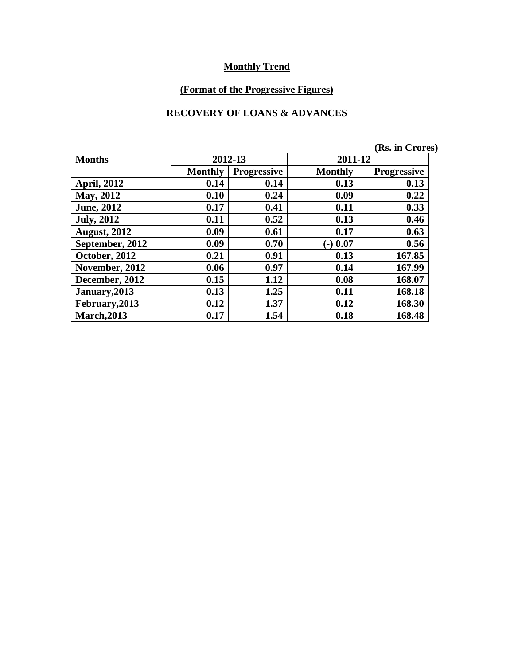## **(Format of the Progressive Figures)**

### **RECOVERY OF LOANS & ADVANCES**

|                     |                |                    |                | (Rs. in Crores)    |
|---------------------|----------------|--------------------|----------------|--------------------|
| <b>Months</b>       |                | 2012-13            | 2011-12        |                    |
|                     | <b>Monthly</b> | <b>Progressive</b> | <b>Monthly</b> | <b>Progressive</b> |
| <b>April, 2012</b>  | 0.14           | 0.14               | 0.13           | 0.13               |
| May, 2012           | 0.10           | 0.24               | 0.09           | 0.22               |
| <b>June, 2012</b>   | 0.17           | 0.41               | 0.11           | 0.33               |
| <b>July, 2012</b>   | 0.11           | 0.52               | 0.13           | 0.46               |
| <b>August, 2012</b> | 0.09           | 0.61               | 0.17           | 0.63               |
| September, 2012     | 0.09           | 0.70               | $(-)$ 0.07     | 0.56               |
| October, 2012       | 0.21           | 0.91               | 0.13           | 167.85             |
| November, 2012      | 0.06           | 0.97               | 0.14           | 167.99             |
| December, 2012      | 0.15           | 1.12               | 0.08           | 168.07             |
| January, 2013       | 0.13           | 1.25               | 0.11           | 168.18             |
| February, 2013      | 0.12           | 1.37               | 0.12           | 168.30             |
| <b>March, 2013</b>  | 0.17           | 1.54               | 0.18           | 168.48             |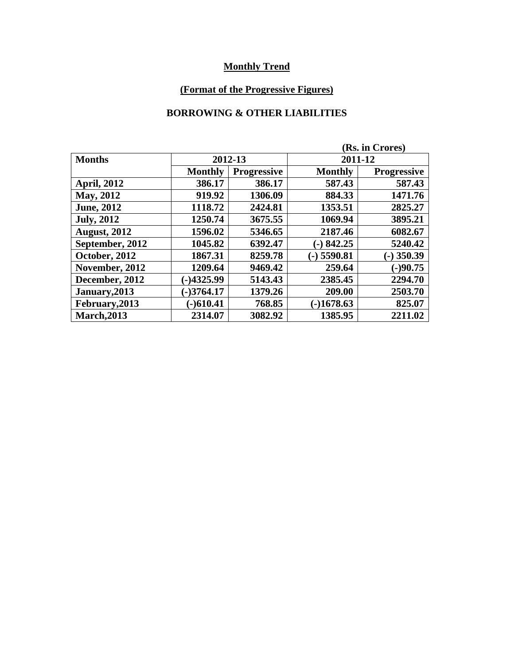## **(Format of the Progressive Figures)**

### **BORROWING & OTHER LIABILITIES**

|                     |                |                    | (Rs. in Crores) |                    |  |
|---------------------|----------------|--------------------|-----------------|--------------------|--|
| <b>Months</b>       | 2012-13        |                    |                 | 2011-12            |  |
|                     | <b>Monthly</b> | <b>Progressive</b> | <b>Monthly</b>  | <b>Progressive</b> |  |
| <b>April, 2012</b>  | 386.17         | 386.17             | 587.43          | 587.43             |  |
| <b>May, 2012</b>    | 919.92         | 1306.09            | 884.33          | 1471.76            |  |
| <b>June</b> , 2012  | 1118.72        | 2424.81            | 1353.51         | 2825.27            |  |
| <b>July, 2012</b>   | 1250.74        | 3675.55            | 1069.94         | 3895.21            |  |
| <b>August, 2012</b> | 1596.02        | 5346.65            | 2187.46         | 6082.67            |  |
| September, 2012     | 1045.82        | 6392.47            | $-)842.25$      | 5240.42            |  |
| October, 2012       | 1867.31        | 8259.78            | $(-)$ 5590.81   | $(-)$ 350.39       |  |
| November, 2012      | 1209.64        | 9469.42            | 259.64          | $(-)90.75$         |  |
| December, 2012      | $-14325.99$    | 5143.43            | 2385.45         | 2294.70            |  |
| January, 2013       | $-3764.17$     | 1379.26            | 209.00          | 2503.70            |  |
| February, 2013      | $-$ 610.41     | 768.85             | $-1678.63$      | 825.07             |  |
| <b>March, 2013</b>  | 2314.07        | 3082.92            | 1385.95         | 2211.02            |  |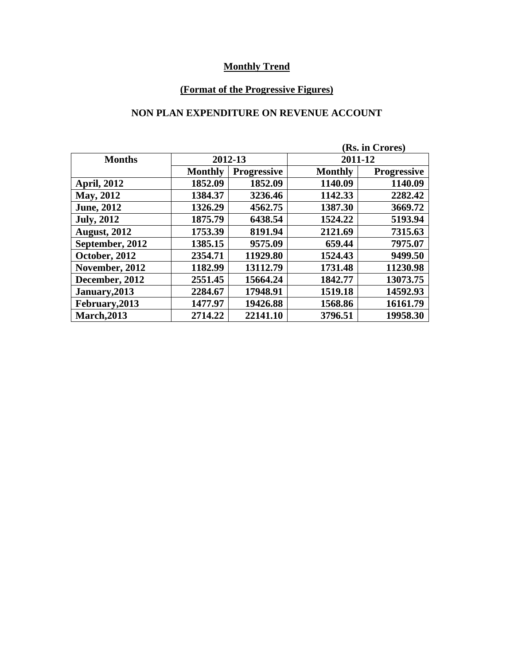## **(Format of the Progressive Figures)**

### **NON PLAN EXPENDITURE ON REVENUE ACCOUNT**

| (Rs. in Crores)     |                |                    |                |                    |  |
|---------------------|----------------|--------------------|----------------|--------------------|--|
| <b>Months</b>       | 2012-13        |                    |                | 2011-12            |  |
|                     | <b>Monthly</b> | <b>Progressive</b> | <b>Monthly</b> | <b>Progressive</b> |  |
| <b>April, 2012</b>  | 1852.09        | 1852.09            | 1140.09        | 1140.09            |  |
| May, 2012           | 1384.37        | 3236.46            | 1142.33        | 2282.42            |  |
| <b>June</b> , 2012  | 1326.29        | 4562.75            | 1387.30        | 3669.72            |  |
| <b>July, 2012</b>   | 1875.79        | 6438.54            | 1524.22        | 5193.94            |  |
| <b>August, 2012</b> | 1753.39        | 8191.94            | 2121.69        | 7315.63            |  |
| September, 2012     | 1385.15        | 9575.09            | 659.44         | 7975.07            |  |
| October, 2012       | 2354.71        | 11929.80           | 1524.43        | 9499.50            |  |
| November, 2012      | 1182.99        | 13112.79           | 1731.48        | 11230.98           |  |
| December, 2012      | 2551.45        | 15664.24           | 1842.77        | 13073.75           |  |
| January, 2013       | 2284.67        | 17948.91           | 1519.18        | 14592.93           |  |
| February, 2013      | 1477.97        | 19426.88           | 1568.86        | 16161.79           |  |
| <b>March, 2013</b>  | 2714.22        | 22141.10           | 3796.51        | 19958.30           |  |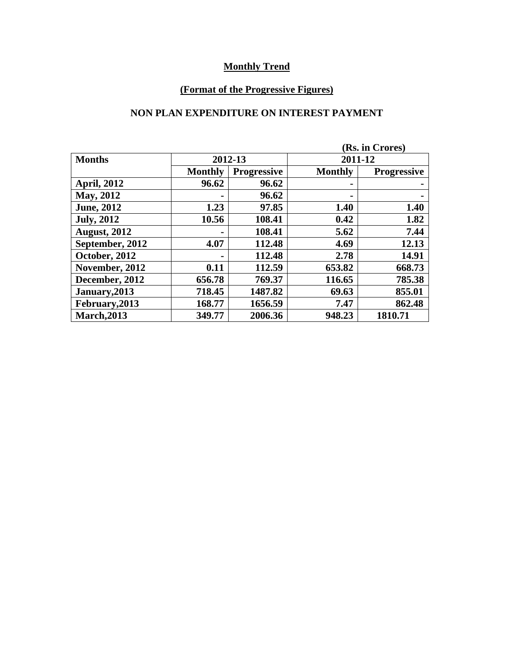## **(Format of the Progressive Figures)**

#### **NON PLAN EXPENDITURE ON INTEREST PAYMENT**

|                     |                |                    | (Rs. in Crores) |                    |
|---------------------|----------------|--------------------|-----------------|--------------------|
| <b>Months</b>       | 2012-13        |                    | 2011-12         |                    |
|                     | <b>Monthly</b> | <b>Progressive</b> | <b>Monthly</b>  | <b>Progressive</b> |
| <b>April, 2012</b>  | 96.62          | 96.62              | $\blacksquare$  |                    |
| <b>May, 2012</b>    |                | 96.62              | $\blacksquare$  |                    |
| <b>June</b> , 2012  | 1.23           | 97.85              | 1.40            | 1.40               |
| <b>July, 2012</b>   | 10.56          | 108.41             | 0.42            | 1.82               |
| <b>August, 2012</b> |                | 108.41             | 5.62            | 7.44               |
| September, 2012     | 4.07           | 112.48             | 4.69            | 12.13              |
| October, 2012       |                | 112.48             | 2.78            | 14.91              |
| November, 2012      | 0.11           | 112.59             | 653.82          | 668.73             |
| December, 2012      | 656.78         | 769.37             | 116.65          | 785.38             |
| January, 2013       | 718.45         | 1487.82            | 69.63           | 855.01             |
| February, 2013      | 168.77         | 1656.59            | 7.47            | 862.48             |
| <b>March, 2013</b>  | 349.77         | 2006.36            | 948.23          | 1810.71            |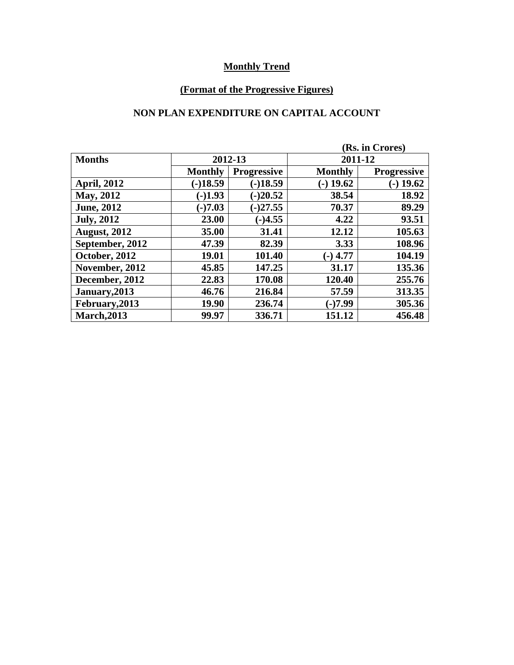## **(Format of the Progressive Figures)**

### **NON PLAN EXPENDITURE ON CAPITAL ACCOUNT**

|                     |                |                    | (Rs. in Crores) |                    |
|---------------------|----------------|--------------------|-----------------|--------------------|
| <b>Months</b>       | 2012-13        |                    | 2011-12         |                    |
|                     | <b>Monthly</b> | <b>Progressive</b> | <b>Monthly</b>  | <b>Progressive</b> |
| <b>April, 2012</b>  | $(-)18.59$     | $(-)18.59$         | $(-)$ 19.62     | $(-)$ 19.62        |
| <b>May, 2012</b>    | $(-)1.93$      | $(-)20.52$         | 38.54           | 18.92              |
| <b>June</b> , 2012  | $(-)7.03$      | $(-)27.55$         | 70.37           | 89.29              |
| <b>July, 2012</b>   | 23.00          | $(-)4.55$          | 4.22            | 93.51              |
| <b>August, 2012</b> | 35.00          | 31.41              | 12.12           | 105.63             |
| September, 2012     | 47.39          | 82.39              | 3.33            | 108.96             |
| October, 2012       | 19.01          | 101.40             | $(-)$ 4.77      | 104.19             |
| November, 2012      | 45.85          | 147.25             | 31.17           | 135.36             |
| December, 2012      | 22.83          | 170.08             | 120.40          | 255.76             |
| January, 2013       | 46.76          | 216.84             | 57.59           | 313.35             |
| February, 2013      | 19.90          | 236.74             | $-17.99$        | 305.36             |
| <b>March, 2013</b>  | 99.97          | 336.71             | 151.12          | 456.48             |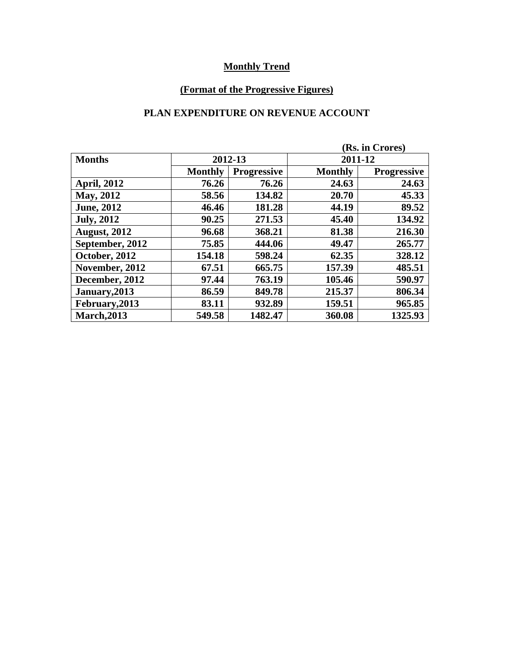## **(Format of the Progressive Figures)**

### **PLAN EXPENDITURE ON REVENUE ACCOUNT**

|                     |                |                    | (Rs. in Crores) |                    |
|---------------------|----------------|--------------------|-----------------|--------------------|
| <b>Months</b>       | 2012-13        |                    | 2011-12         |                    |
|                     | <b>Monthly</b> | <b>Progressive</b> | <b>Monthly</b>  | <b>Progressive</b> |
| <b>April, 2012</b>  | 76.26          | 76.26              | 24.63           | 24.63              |
| <b>May, 2012</b>    | 58.56          | 134.82             | 20.70           | 45.33              |
| <b>June</b> , 2012  | 46.46          | 181.28             | 44.19           | 89.52              |
| <b>July, 2012</b>   | 90.25          | 271.53             | 45.40           | 134.92             |
| <b>August, 2012</b> | 96.68          | 368.21             | 81.38           | 216.30             |
| September, 2012     | 75.85          | 444.06             | 49.47           | 265.77             |
| October, 2012       | 154.18         | 598.24             | 62.35           | 328.12             |
| November, 2012      | 67.51          | 665.75             | 157.39          | 485.51             |
| December, 2012      | 97.44          | 763.19             | 105.46          | 590.97             |
| January, 2013       | 86.59          | 849.78             | 215.37          | 806.34             |
| February, 2013      | 83.11          | 932.89             | 159.51          | 965.85             |
| <b>March, 2013</b>  | 549.58         | 1482.47            | 360.08          | 1325.93            |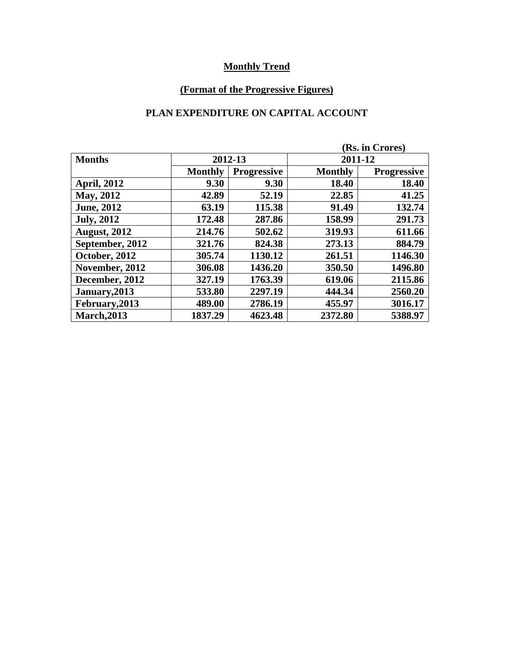## **(Format of the Progressive Figures)**

### **PLAN EXPENDITURE ON CAPITAL ACCOUNT**

|                     |                |                    | (Rs. in Crores) |                    |
|---------------------|----------------|--------------------|-----------------|--------------------|
| <b>Months</b>       | 2012-13        |                    | 2011-12         |                    |
|                     | <b>Monthly</b> | <b>Progressive</b> | <b>Monthly</b>  | <b>Progressive</b> |
| <b>April, 2012</b>  | 9.30           | 9.30               | 18.40           | 18.40              |
| May, 2012           | 42.89          | 52.19              | 22.85           | 41.25              |
| <b>June</b> , 2012  | 63.19          | 115.38             | 91.49           | 132.74             |
| <b>July, 2012</b>   | 172.48         | 287.86             | 158.99          | 291.73             |
| <b>August, 2012</b> | 214.76         | 502.62             | 319.93          | 611.66             |
| September, 2012     | 321.76         | 824.38             | 273.13          | 884.79             |
| October, 2012       | 305.74         | 1130.12            | 261.51          | 1146.30            |
| November, 2012      | 306.08         | 1436.20            | 350.50          | 1496.80            |
| December, 2012      | 327.19         | 1763.39            | 619.06          | 2115.86            |
| January, 2013       | 533.80         | 2297.19            | 444.34          | 2560.20            |
| February, 2013      | 489.00         | 2786.19            | 455.97          | 3016.17            |
| <b>March, 2013</b>  | 1837.29        | 4623.48            | 2372.80         | 5388.97            |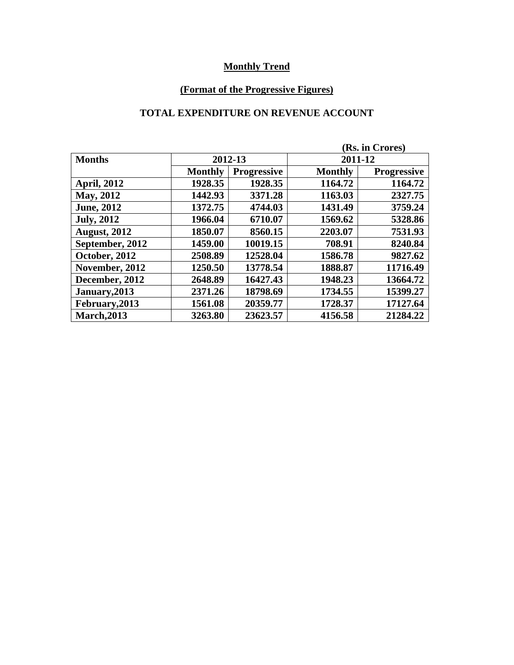## **(Format of the Progressive Figures)**

### **TOTAL EXPENDITURE ON REVENUE ACCOUNT**

|                     |                | (Rs. in Crores)    |                |                    |
|---------------------|----------------|--------------------|----------------|--------------------|
| <b>Months</b>       | 2012-13        |                    | 2011-12        |                    |
|                     | <b>Monthly</b> | <b>Progressive</b> | <b>Monthly</b> | <b>Progressive</b> |
| <b>April, 2012</b>  | 1928.35        | 1928.35            | 1164.72        | 1164.72            |
| May, 2012           | 1442.93        | 3371.28            | 1163.03        | 2327.75            |
| <b>June</b> , 2012  | 1372.75        | 4744.03            | 1431.49        | 3759.24            |
| <b>July, 2012</b>   | 1966.04        | 6710.07            | 1569.62        | 5328.86            |
| <b>August, 2012</b> | 1850.07        | 8560.15            | 2203.07        | 7531.93            |
| September, 2012     | 1459.00        | 10019.15           | 708.91         | 8240.84            |
| October, 2012       | 2508.89        | 12528.04           | 1586.78        | 9827.62            |
| November, 2012      | 1250.50        | 13778.54           | 1888.87        | 11716.49           |
| December, 2012      | 2648.89        | 16427.43           | 1948.23        | 13664.72           |
| January, 2013       | 2371.26        | 18798.69           | 1734.55        | 15399.27           |
| February, 2013      | 1561.08        | 20359.77           | 1728.37        | 17127.64           |
| <b>March, 2013</b>  | 3263.80        | 23623.57           | 4156.58        | 21284.22           |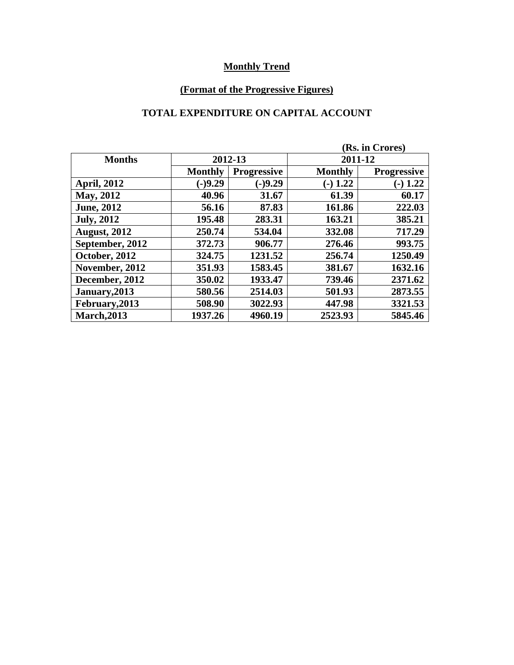## **(Format of the Progressive Figures)**

# **TOTAL EXPENDITURE ON CAPITAL ACCOUNT**

|                     |                |                    | (Rs. in Crores) |                    |  |
|---------------------|----------------|--------------------|-----------------|--------------------|--|
| <b>Months</b>       | 2012-13        |                    | 2011-12         |                    |  |
|                     | <b>Monthly</b> | <b>Progressive</b> | <b>Monthly</b>  | <b>Progressive</b> |  |
| <b>April, 2012</b>  | $(-)9.29$      | $(-)9.29$          | $(-) 1.22$      | $(-) 1.22$         |  |
| May, 2012           | 40.96          | 31.67              | 61.39           | 60.17              |  |
| <b>June</b> , 2012  | 56.16          | 87.83              | 161.86          | 222.03             |  |
| <b>July, 2012</b>   | 195.48         | 283.31             | 163.21          | 385.21             |  |
| <b>August, 2012</b> | 250.74         | 534.04             | 332.08          | 717.29             |  |
| September, 2012     | 372.73         | 906.77             | 276.46          | 993.75             |  |
| October, 2012       | 324.75         | 1231.52            | 256.74          | 1250.49            |  |
| November, 2012      | 351.93         | 1583.45            | 381.67          | 1632.16            |  |
| December, 2012      | 350.02         | 1933.47            | 739.46          | 2371.62            |  |
| January, 2013       | 580.56         | 2514.03            | 501.93          | 2873.55            |  |
| February, 2013      | 508.90         | 3022.93            | 447.98          | 3321.53            |  |
| <b>March, 2013</b>  | 1937.26        | 4960.19            | 2523.93         | 5845.46            |  |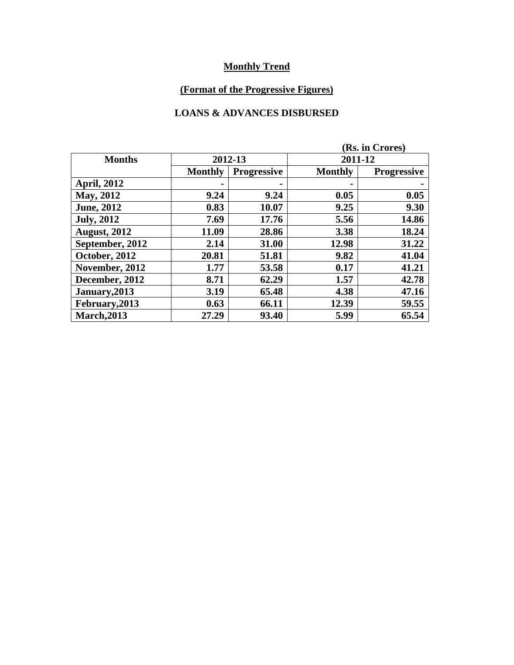## **(Format of the Progressive Figures)**

### **LOANS & ADVANCES DISBURSED**

|                     |                |                    | (Rs. in Crores) |                    |  |
|---------------------|----------------|--------------------|-----------------|--------------------|--|
| <b>Months</b>       | 2012-13        |                    | 2011-12         |                    |  |
|                     | <b>Monthly</b> | <b>Progressive</b> | <b>Monthly</b>  | <b>Progressive</b> |  |
| <b>April, 2012</b>  |                |                    |                 |                    |  |
| May, 2012           | 9.24           | 9.24               | 0.05            | 0.05               |  |
| <b>June</b> , 2012  | 0.83           | 10.07              | 9.25            | 9.30               |  |
| <b>July, 2012</b>   | 7.69           | 17.76              | 5.56            | 14.86              |  |
| <b>August, 2012</b> | 11.09          | 28.86              | 3.38            | 18.24              |  |
| September, 2012     | 2.14           | 31.00              | 12.98           | 31.22              |  |
| October, 2012       | 20.81          | 51.81              | 9.82            | 41.04              |  |
| November, 2012      | 1.77           | 53.58              | 0.17            | 41.21              |  |
| December, 2012      | 8.71           | 62.29              | 1.57            | 42.78              |  |
| January, 2013       | 3.19           | 65.48              | 4.38            | 47.16              |  |
| February, 2013      | 0.63           | 66.11              | 12.39           | 59.55              |  |
| <b>March, 2013</b>  | 27.29          | 93.40              | 5.99            | 65.54              |  |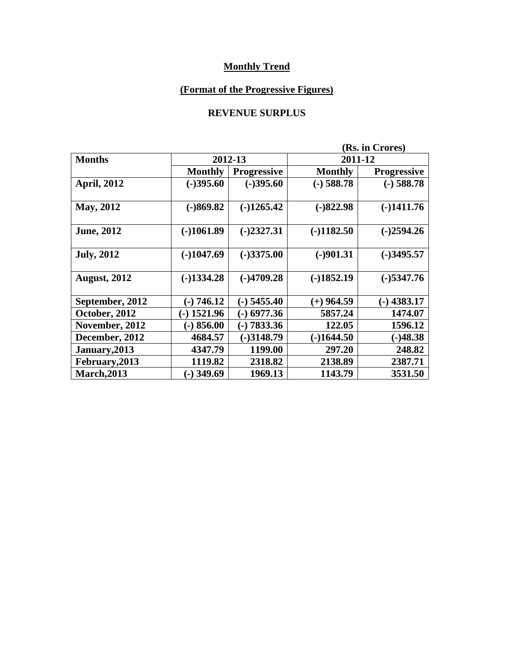## **(Format of the Progressive Figures)**

### **REVENUE SURPLUS**

|                     | (Rs. in Crores) |                    |                |                    |  |
|---------------------|-----------------|--------------------|----------------|--------------------|--|
| <b>Months</b>       |                 | 2012-13            | 2011-12        |                    |  |
|                     | <b>Monthly</b>  | <b>Progressive</b> | <b>Monthly</b> | <b>Progressive</b> |  |
| <b>April, 2012</b>  | $(-)395.60$     | $(-)395.60$        | $(-)$ 588.78   | $(-)$ 588.78       |  |
| May, 2012           | $(-)869.82$     | $(-)1265.42$       | $(-)822.98$    | $(-)1411.76$       |  |
| <b>June, 2012</b>   | $(-)1061.89$    | $(-)2327.31$       | $(-)1182.50$   | $(-)2594.26$       |  |
| <b>July, 2012</b>   | $(-)1047.69$    | $(-)3375.00$       | $(-)901.31$    | $(-)3495.57$       |  |
| <b>August, 2012</b> | $(-)1334.28$    | $(-)4709.28$       | $(-)1852.19$   | $(-)$ 5347.76      |  |
| September, 2012     | $(-) 746.12$    | $(-)$ 5455.40      | $(+)$ 964.59   | $-$ ) 4383.17      |  |
| October, 2012       | $-1521.96$      | $-$ 6977.36        | 5857.24        | 1474.07            |  |
| November, 2012      | $(-) 856.00$    | $(-) 7833.36$      | 122.05         | 1596.12            |  |
| December, 2012      | 4684.57         | $(-)3148.79$       | $(-)1644.50$   | $(-)48.38$         |  |
| January, 2013       | 4347.79         | 1199.00            | 297.20         | 248.82             |  |
| February, 2013      | 1119.82         | 2318.82            | 2138.89        | 2387.71            |  |
| <b>March, 2013</b>  | $(-)$ 349.69    | 1969.13            | 1143.79        | 3531.50            |  |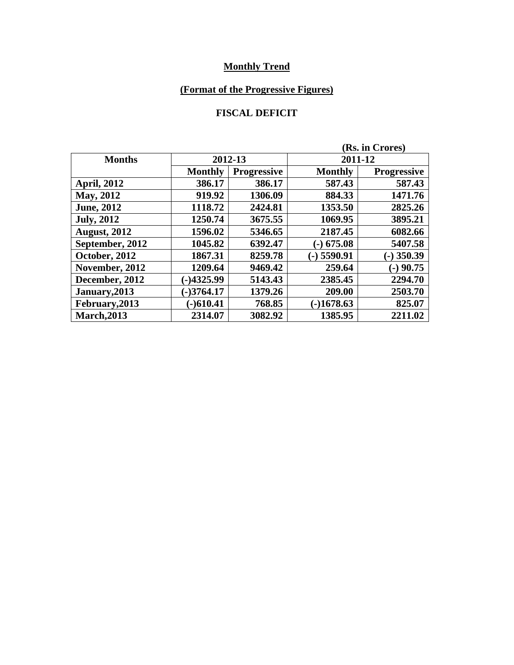## **(Format of the Progressive Figures)**

### **FISCAL DEFICIT**

|                     |                |                    | (Rs. in Crores) |                    |  |
|---------------------|----------------|--------------------|-----------------|--------------------|--|
| <b>Months</b>       | 2012-13        |                    | 2011-12         |                    |  |
|                     | <b>Monthly</b> | <b>Progressive</b> | <b>Monthly</b>  | <b>Progressive</b> |  |
| <b>April, 2012</b>  | 386.17         | 386.17             | 587.43          | 587.43             |  |
| <b>May, 2012</b>    | 919.92         | 1306.09            | 884.33          | 1471.76            |  |
| <b>June</b> , 2012  | 1118.72        | 2424.81            | 1353.50         | 2825.26            |  |
| <b>July, 2012</b>   | 1250.74        | 3675.55            | 1069.95         | 3895.21            |  |
| <b>August, 2012</b> | 1596.02        | 5346.65            | 2187.45         | 6082.66            |  |
| September, 2012     | 1045.82        | 6392.47            | $(-)$ 675.08    | 5407.58            |  |
| October, 2012       | 1867.31        | 8259.78            | $(-)$ 5590.91   | $(-)$ 350.39       |  |
| November, 2012      | 1209.64        | 9469.42            | 259.64          | $-)$ 90.75         |  |
| December, 2012      | $-14325.99$    | 5143.43            | 2385.45         | 2294.70            |  |
| January, 2013       | $-3764.17$     | 1379.26            | 209.00          | 2503.70            |  |
| February, 2013      | $(-)610.41$    | 768.85             | $-1678.63$      | 825.07             |  |
| <b>March, 2013</b>  | 2314.07        | 3082.92            | 1385.95         | 2211.02            |  |